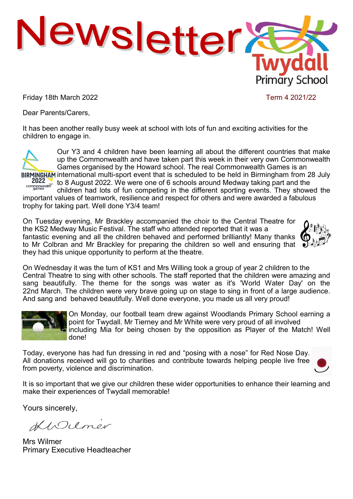

Friday 18th March 2022 **Term 4 2021/22** 

Dear Parents/Carers,

It has been another really busy week at school with lots of fun and exciting activities for the children to engage in.



Our Y3 and 4 children have been learning all about the different countries that make up the Commonwealth and have taken part this week in their very own Commonwealth Games organised by the Howard school. The real Commonwealth Games is an BIRMINGHAM international multi-sport event that is scheduled to be held in Birmingham from 28 July

2022 to 8 August 2022. We were one of 6 schools around Medway taking part and the companisment of the companisment of the different another curricle Theoretical children had lots of fun competing in the different sporting events. They showed the

important values of teamwork, resilience and respect for others and were awarded a fabulous trophy for taking part. Well done Y3/4 team!

On Tuesday evening, Mr Brackley accompanied the choir to the Central Theatre for the KS2 Medway Music Festival. The staff who attended reported that it was a fantastic evening and all the children behaved and performed brilliantly! Many thanks to Mr Colbran and Mr Brackley for preparing the children so well and ensuring that they had this unique opportunity to perform at the theatre.



On Wednesday it was the turn of KS1 and Mrs Willing took a group of year 2 children to the Central Theatre to sing with other schools. The staff reported that the children were amazing and sang beautifully. The theme for the songs was water as it's 'World Water Day' on the 22nd March. The children were very brave going up on stage to sing in front of a large audience. And sang and behaved beautifully. Well done everyone, you made us all very proud!



On Monday, our football team drew against Woodlands Primary School earning a point for Twydall. Mr Tierney and Mr White were very proud of all involved including Mia for being chosen by the opposition as Player of the Match! Well done!

Today, everyone has had fun dressing in red and "posing with a nose" for Red Nose Day. All donations received will go to charities and contribute towards helping people live free from poverty, violence and discrimination.



It is so important that we give our children these wider opportunities to enhance their learning and make their experiences of Twydall memorable!

Yours sincerely,

KIDuner

Mrs Wilmer Primary Executive Headteacher